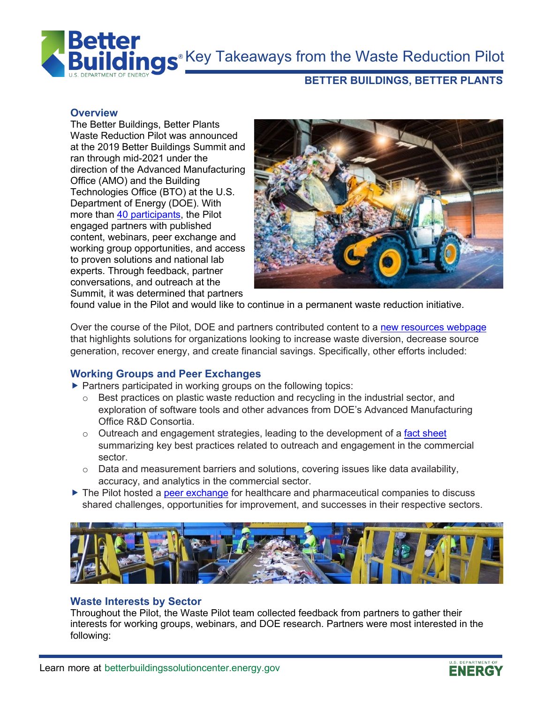**R**<sup>®</sup> Key Takeaways from the Waste Reduction Pilot



# **BETTER BUILDINGS, BETTER PLANTS**

### **Overview**

The Better Buildings, Better Plants Waste Reduction Pilot was announced at the 2019 Better Buildings Summit and ran through mid-2021 under the direction of the Advanced Manufacturing Office (AMO) and the Building Technologies Office (BTO) at the U.S. Department of Energy (DOE). With more than [40 participants,](https://betterbuildingssolutioncenter.energy.gov/special-initiatives/waste-reduction-network/meet-partners) the Pilot engaged partners with published content, webinars, peer exchange and working group opportunities, and access to proven solutions and national lab experts. Through feedback, partner conversations, and outreach at the Summit, it was determined that partners



found value in the Pilot and would like to continue in a permanent waste reduction initiative.

Over the course of the Pilot, DOE and partners contributed content to a [new resources webpage](https://betterbuildingssolutioncenter.energy.gov/special-initiatives/waste-reduction-pilot/resources) that highlights solutions for organizations looking to increase waste diversion, decrease source generation, recover energy, and create financial savings. Specifically, other efforts included:

## **Working Groups and Peer Exchanges**

- **Partners participated in working groups on the following topics:** 
	- o Best practices on plastic waste reduction and recycling in the industrial sector, and exploration of software tools and other advances from DOE's Advanced Manufacturing Office R&D Consortia.
	- $\circ$  Outreach and engagement strategies, leading to the development of a [fact sheet](https://betterbuildingssolutioncenter.energy.gov/sites/default/files/attachments/DOE_Waste_Pilot_Outreach_Engagement_Fact_Sheet.pdf) summarizing key best practices related to outreach and engagement in the commercial sector.
	- o Data and measurement barriers and solutions, covering issues like data availability, accuracy, and analytics in the commercial sector.
- The Pilot hosted a [peer exchange](https://betterbuildingssolutioncenter.energy.gov/beat-blog/healthcare-and-pharmaceutical-partners-combine-forces-tackle-shared-waste-challenges) for healthcare and pharmaceutical companies to discuss shared challenges, opportunities for improvement, and successes in their respective sectors.



#### **Waste Interests by Sector**

Throughout the Pilot, the Waste Pilot team collected feedback from partners to gather their interests for working groups, webinars, and DOE research. Partners were most interested in the following:

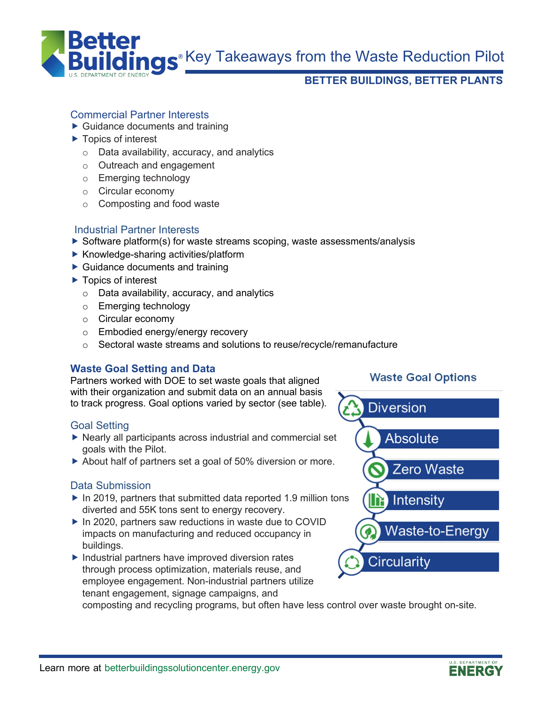

**R**<sup>®</sup> Key Takeaways from the Waste Reduction Pilot

# **BETTER BUILDINGS, BETTER PLANTS**

# Commercial Partner Interests

- ▶ Guidance documents and training
- ▶ Topics of interest
	- o Data availability, accuracy, and analytics
	- o Outreach and engagement
	- o Emerging technology
	- o Circular economy
	- o Composting and food waste

# Industrial Partner Interests

- $\triangleright$  Software platform(s) for waste streams scoping, waste assessments/analysis
- $\blacktriangleright$  Knowledge-sharing activities/platform
- ▶ Guidance documents and training
- ▶ Topics of interest
	- o Data availability, accuracy, and analytics
	- o Emerging technology
	- o Circular economy
	- o Embodied energy/energy recovery
	- o Sectoral waste streams and solutions to reuse/recycle/remanufacture

# **Waste Goal Setting and Data**

Partners worked with DOE to set waste goals that aligned with their organization and submit data on an annual basis to track progress. Goal options varied by sector (see table).

## Goal Setting

- $\triangleright$  Nearly all participants across industrial and commercial set goals with the Pilot.
- ▶ About half of partners set a goal of 50% diversion or more.

## Data Submission

- $\blacktriangleright$  In 2019, partners that submitted data reported 1.9 million tons diverted and 55K tons sent to energy recovery.
- ▶ In 2020, partners saw reductions in waste due to COVID impacts on manufacturing and reduced occupancy in buildings.
- $\blacktriangleright$  Industrial partners have improved diversion rates through process optimization, materials reuse, and employee engagement. Non-industrial partners utilize tenant engagement, signage campaigns, and

composting and recycling programs, but often have less control over waste brought on-site.

# **Waste Goal Options**